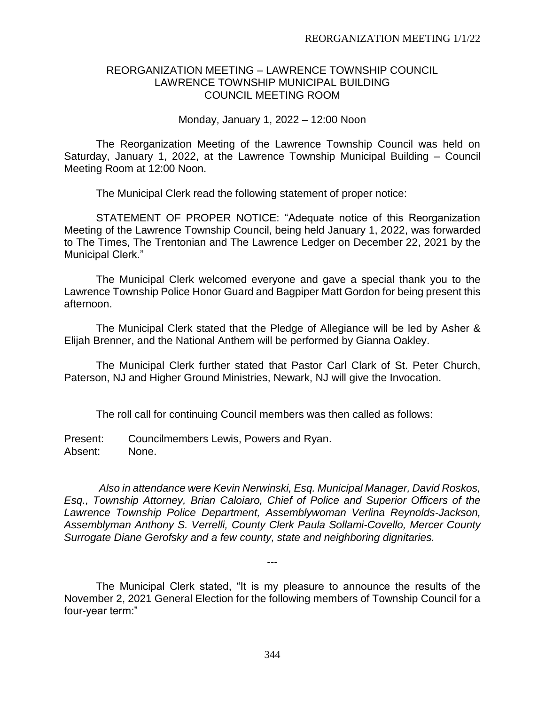### REORGANIZATION MEETING – LAWRENCE TOWNSHIP COUNCIL LAWRENCE TOWNSHIP MUNICIPAL BUILDING COUNCIL MEETING ROOM

Monday, January 1, 2022 – 12:00 Noon

The Reorganization Meeting of the Lawrence Township Council was held on Saturday, January 1, 2022, at the Lawrence Township Municipal Building – Council Meeting Room at 12:00 Noon.

The Municipal Clerk read the following statement of proper notice:

STATEMENT OF PROPER NOTICE: "Adequate notice of this Reorganization Meeting of the Lawrence Township Council, being held January 1, 2022, was forwarded to The Times, The Trentonian and The Lawrence Ledger on December 22, 2021 by the Municipal Clerk."

The Municipal Clerk welcomed everyone and gave a special thank you to the Lawrence Township Police Honor Guard and Bagpiper Matt Gordon for being present this afternoon.

The Municipal Clerk stated that the Pledge of Allegiance will be led by Asher & Elijah Brenner, and the National Anthem will be performed by Gianna Oakley.

The Municipal Clerk further stated that Pastor Carl Clark of St. Peter Church, Paterson, NJ and Higher Ground Ministries, Newark, NJ will give the Invocation.

The roll call for continuing Council members was then called as follows:

Present: Councilmembers Lewis, Powers and Ryan. Absent: None.

*Also in attendance were Kevin Nerwinski, Esq. Municipal Manager, David Roskos, Esq., Township Attorney, Brian Caloiaro, Chief of Police and Superior Officers of the Lawrence Township Police Department, Assemblywoman Verlina Reynolds-Jackson, Assemblyman Anthony S. Verrelli, County Clerk Paula Sollami-Covello, Mercer County Surrogate Diane Gerofsky and a few county, state and neighboring dignitaries.*

The Municipal Clerk stated, "It is my pleasure to announce the results of the November 2, 2021 General Election for the following members of Township Council for a four-year term:"

---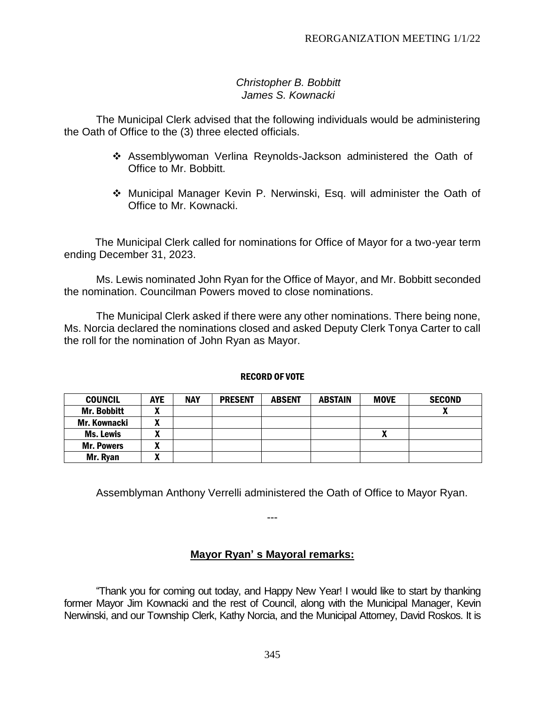### *Christopher B. Bobbitt James S. Kownacki*

The Municipal Clerk advised that the following individuals would be administering the Oath of Office to the (3) three elected officials.

- ❖ Assemblywoman Verlina Reynolds-Jackson administered the Oath of Office to Mr. Bobbitt.
- ❖ Municipal Manager Kevin P. Nerwinski, Esq. will administer the Oath of Office to Mr. Kownacki.

The Municipal Clerk called for nominations for Office of Mayor for a two-year term ending December 31, 2023.

Ms. Lewis nominated John Ryan for the Office of Mayor, and Mr. Bobbitt seconded the nomination. Councilman Powers moved to close nominations.

The Municipal Clerk asked if there were any other nominations. There being none, Ms. Norcia declared the nominations closed and asked Deputy Clerk Tonya Carter to call the roll for the nomination of John Ryan as Mayor.

#### RECORD OF VOTE

| <b>COUNCIL</b>      | <b>AYE</b>        | <b>NAY</b> | <b>PRESENT</b> | <b>ABSENT</b> | <b>ABSTAIN</b> | <b>MOVE</b> | <b>SECOND</b> |
|---------------------|-------------------|------------|----------------|---------------|----------------|-------------|---------------|
| Mr. Bobbitt         | v<br>́            |            |                |               |                |             |               |
| <b>Mr. Kownacki</b> | $\mathbf{u}$<br>́ |            |                |               |                |             |               |
| <b>Ms. Lewis</b>    | л                 |            |                |               |                | Λ           |               |
| <b>Mr. Powers</b>   | n                 |            |                |               |                |             |               |
| Mr. Ryan            | w<br>Λ            |            |                |               |                |             |               |

Assemblyman Anthony Verrelli administered the Oath of Office to Mayor Ryan.

---

# **Mayor Ryan' s Mayoral remarks:**

"Thank you for coming out today, and Happy New Year! I would like to start by thanking former Mayor Jim Kownacki and the rest of Council, along with the Municipal Manager, Kevin Nerwinski, and our Township Clerk, Kathy Norcia, and the Municipal Attorney, David Roskos. It is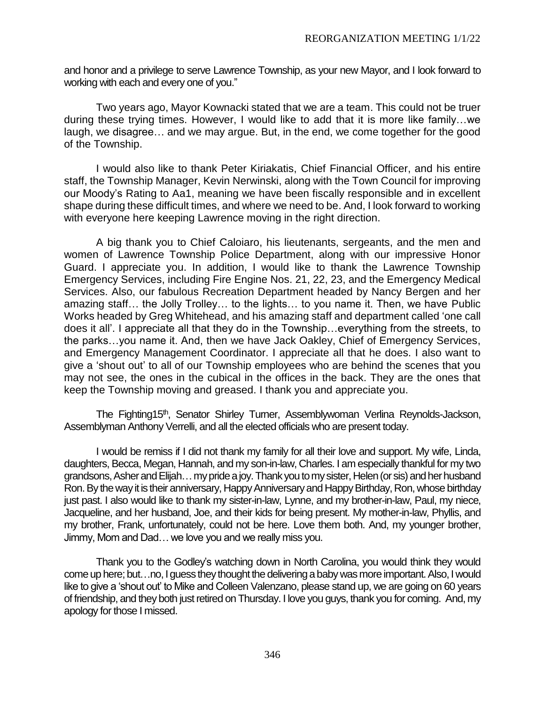and honor and a privilege to serve Lawrence Township, as your new Mayor, and I look forward to working with each and every one of you."

Two years ago, Mayor Kownacki stated that we are a team. This could not be truer during these trying times. However, I would like to add that it is more like family…we laugh, we disagree… and we may argue. But, in the end, we come together for the good of the Township.

I would also like to thank Peter Kiriakatis, Chief Financial Officer, and his entire staff, the Township Manager, Kevin Nerwinski, along with the Town Council for improving our Moody's Rating to Aa1, meaning we have been fiscally responsible and in excellent shape during these difficult times, and where we need to be. And, I look forward to working with everyone here keeping Lawrence moving in the right direction.

A big thank you to Chief Caloiaro, his lieutenants, sergeants, and the men and women of Lawrence Township Police Department, along with our impressive Honor Guard. I appreciate you. In addition, I would like to thank the Lawrence Township Emergency Services, including Fire Engine Nos. 21, 22, 23, and the Emergency Medical Services. Also, our fabulous Recreation Department headed by Nancy Bergen and her amazing staff… the Jolly Trolley… to the lights… to you name it. Then, we have Public Works headed by Greg Whitehead, and his amazing staff and department called 'one call does it all'. I appreciate all that they do in the Township…everything from the streets, to the parks…you name it. And, then we have Jack Oakley, Chief of Emergency Services, and Emergency Management Coordinator. I appreciate all that he does. I also want to give a 'shout out' to all of our Township employees who are behind the scenes that you may not see, the ones in the cubical in the offices in the back. They are the ones that keep the Township moving and greased. I thank you and appreciate you.

The Fighting15<sup>th</sup>, Senator Shirley Turner, Assemblywoman Verlina Reynolds-Jackson, Assemblyman Anthony Verrelli, and all the elected officials who are present today.

I would be remiss if I did not thank my family for all their love and support. My wife, Linda, daughters, Becca, Megan, Hannah, and my son-in-law, Charles. I am especially thankful for my two grandsons, Asher and Elijah... my pride a joy. Thank you to my sister, Helen (or sis) and her husband Ron. By the way it is their anniversary, Happy Anniversary and Happy Birthday, Ron,whose birthday just past. I also would like to thank my sister-in-law, Lynne, and my brother-in-law, Paul, my niece, Jacqueline, and her husband, Joe, and their kids for being present. My mother-in-law, Phyllis, and my brother, Frank, unfortunately, could not be here. Love them both. And, my younger brother, Jimmy, Mom and Dad… we love you and we really miss you.

Thank you to the Godley's watching down in North Carolina, you would think they would come up here; but…no, I guess they thought the delivering a baby was more important.Also, I would like to give a 'shout out' to Mike and Colleen Valenzano, please stand up, we are going on 60 years of friendship, and they both just retired on Thursday. I love you guys, thank you for coming. And, my apology for those I missed.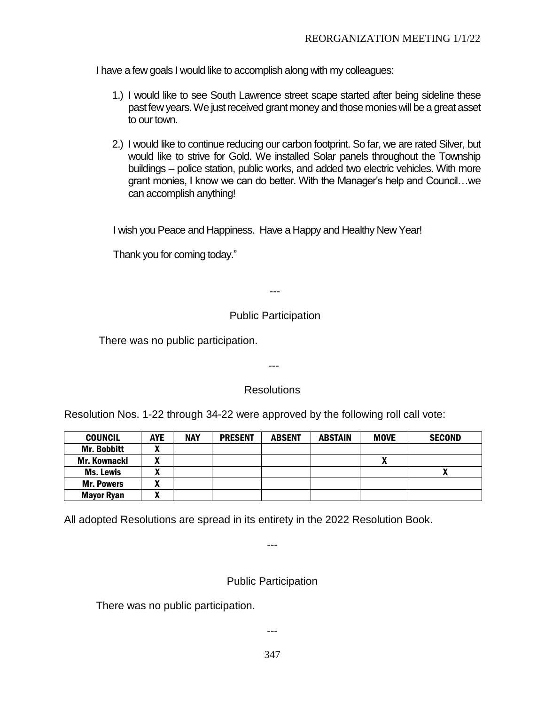I have a few goals I would like to accomplish along with my colleagues:

- 1.) I would like to see South Lawrence street scape started after being sideline these past few years. We just received grant money and those monies will be a great asset to our town.
- 2.) I would like to continue reducing our carbon footprint. So far, we are rated Silver, but would like to strive for Gold. We installed Solar panels throughout the Township buildings – police station, public works, and added two electric vehicles. With more grant monies, I know we can do better. With the Manager's help and Council…we can accomplish anything!

I wish you Peace and Happiness. Have a Happy and Healthy New Year!

Thank you for coming today."

---

# Public Participation

There was no public participation.

# **Resolutions**

---

Resolution Nos. 1-22 through 34-22 were approved by the following roll call vote:

| <b>COUNCIL</b>      | <b>AYE</b>        | <b>NAY</b> | <b>PRESENT</b> | <b>ABSENT</b> | <b>ABSTAIN</b> | <b>MOVE</b> | <b>SECOND</b> |
|---------------------|-------------------|------------|----------------|---------------|----------------|-------------|---------------|
| <b>Mr. Bobbitt</b>  | v<br>Λ            |            |                |               |                |             |               |
| <b>Mr. Kownacki</b> | v<br>Λ            |            |                |               |                |             |               |
| Ms. Lewis           | $\mathbf{v}$<br>Λ |            |                |               |                |             |               |
| <b>Mr. Powers</b>   | v<br>Λ            |            |                |               |                |             |               |
| <b>Mayor Ryan</b>   | $\mathbf{v}$<br>" |            |                |               |                |             |               |

All adopted Resolutions are spread in its entirety in the 2022 Resolution Book.

Public Participation

---

There was no public participation.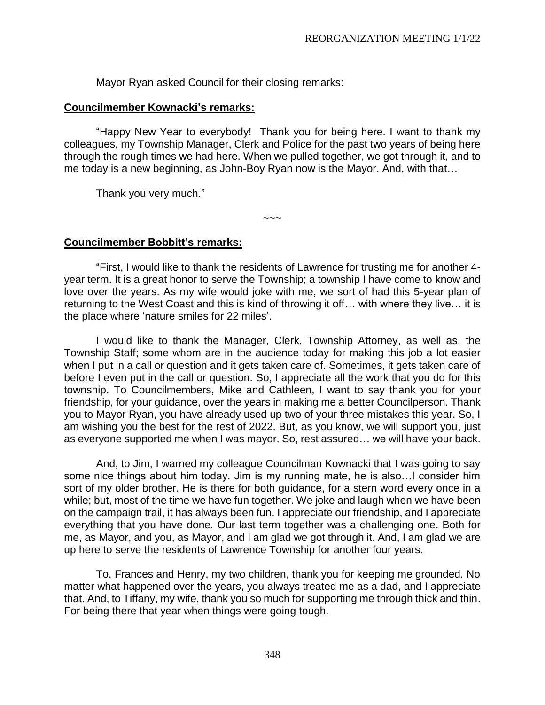Mayor Ryan asked Council for their closing remarks:

#### **Councilmember Kownacki's remarks:**

"Happy New Year to everybody! Thank you for being here. I want to thank my colleagues, my Township Manager, Clerk and Police for the past two years of being here through the rough times we had here. When we pulled together, we got through it, and to me today is a new beginning, as John-Boy Ryan now is the Mayor. And, with that…

Thank you very much."

 $\sim\sim\sim$ 

### **Councilmember Bobbitt's remarks:**

"First, I would like to thank the residents of Lawrence for trusting me for another 4 year term. It is a great honor to serve the Township; a township I have come to know and love over the years. As my wife would joke with me, we sort of had this 5-year plan of returning to the West Coast and this is kind of throwing it off… with where they live… it is the place where 'nature smiles for 22 miles'.

I would like to thank the Manager, Clerk, Township Attorney, as well as, the Township Staff; some whom are in the audience today for making this job a lot easier when I put in a call or question and it gets taken care of. Sometimes, it gets taken care of before I even put in the call or question. So, I appreciate all the work that you do for this township. To Councilmembers, Mike and Cathleen, I want to say thank you for your friendship, for your guidance, over the years in making me a better Councilperson. Thank you to Mayor Ryan, you have already used up two of your three mistakes this year. So, I am wishing you the best for the rest of 2022. But, as you know, we will support you, just as everyone supported me when I was mayor. So, rest assured… we will have your back.

And, to Jim, I warned my colleague Councilman Kownacki that I was going to say some nice things about him today. Jim is my running mate, he is also…I consider him sort of my older brother. He is there for both guidance, for a stern word every once in a while; but, most of the time we have fun together. We joke and laugh when we have been on the campaign trail, it has always been fun. I appreciate our friendship, and I appreciate everything that you have done. Our last term together was a challenging one. Both for me, as Mayor, and you, as Mayor, and I am glad we got through it. And, I am glad we are up here to serve the residents of Lawrence Township for another four years.

To, Frances and Henry, my two children, thank you for keeping me grounded. No matter what happened over the years, you always treated me as a dad, and I appreciate that. And, to Tiffany, my wife, thank you so much for supporting me through thick and thin. For being there that year when things were going tough.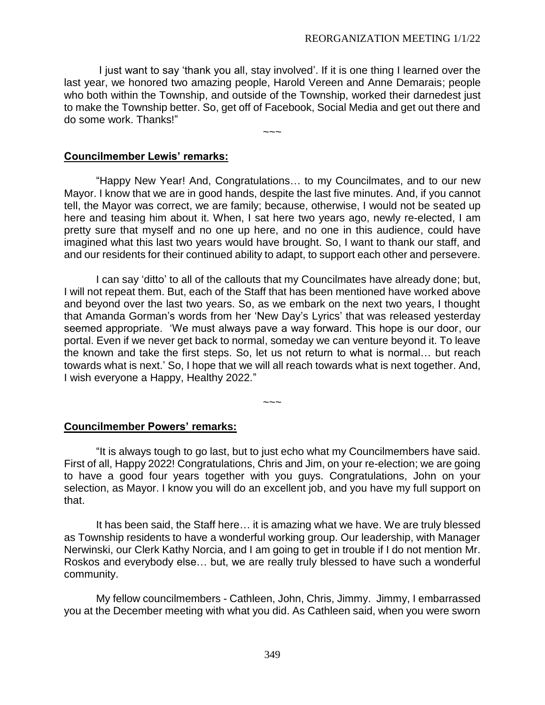I just want to say 'thank you all, stay involved'. If it is one thing I learned over the last year, we honored two amazing people, Harold Vereen and Anne Demarais; people who both within the Township, and outside of the Township, worked their darnedest just to make the Township better. So, get off of Facebook, Social Media and get out there and do some work. Thanks!"

 $\sim\sim\sim$ 

#### **Councilmember Lewis' remarks:**

"Happy New Year! And, Congratulations… to my Councilmates, and to our new Mayor. I know that we are in good hands, despite the last five minutes. And, if you cannot tell, the Mayor was correct, we are family; because, otherwise, I would not be seated up here and teasing him about it. When, I sat here two years ago, newly re-elected, I am pretty sure that myself and no one up here, and no one in this audience, could have imagined what this last two years would have brought. So, I want to thank our staff, and and our residents for their continued ability to adapt, to support each other and persevere.

I can say 'ditto' to all of the callouts that my Councilmates have already done; but, I will not repeat them. But, each of the Staff that has been mentioned have worked above and beyond over the last two years. So, as we embark on the next two years, I thought that Amanda Gorman's words from her 'New Day's Lyrics' that was released yesterday seemed appropriate. 'We must always pave a way forward. This hope is our door, our portal. Even if we never get back to normal, someday we can venture beyond it. To leave the known and take the first steps. So, let us not return to what is normal… but reach towards what is next.' So, I hope that we will all reach towards what is next together. And, I wish everyone a Happy, Healthy 2022."

#### **Councilmember Powers' remarks:**

"It is always tough to go last, but to just echo what my Councilmembers have said. First of all, Happy 2022! Congratulations, Chris and Jim, on your re-election; we are going to have a good four years together with you guys. Congratulations, John on your selection, as Mayor. I know you will do an excellent job, and you have my full support on that.

 $\sim\sim\sim$ 

It has been said, the Staff here… it is amazing what we have. We are truly blessed as Township residents to have a wonderful working group. Our leadership, with Manager Nerwinski, our Clerk Kathy Norcia, and I am going to get in trouble if I do not mention Mr. Roskos and everybody else… but, we are really truly blessed to have such a wonderful community.

My fellow councilmembers - Cathleen, John, Chris, Jimmy. Jimmy, I embarrassed you at the December meeting with what you did. As Cathleen said, when you were sworn